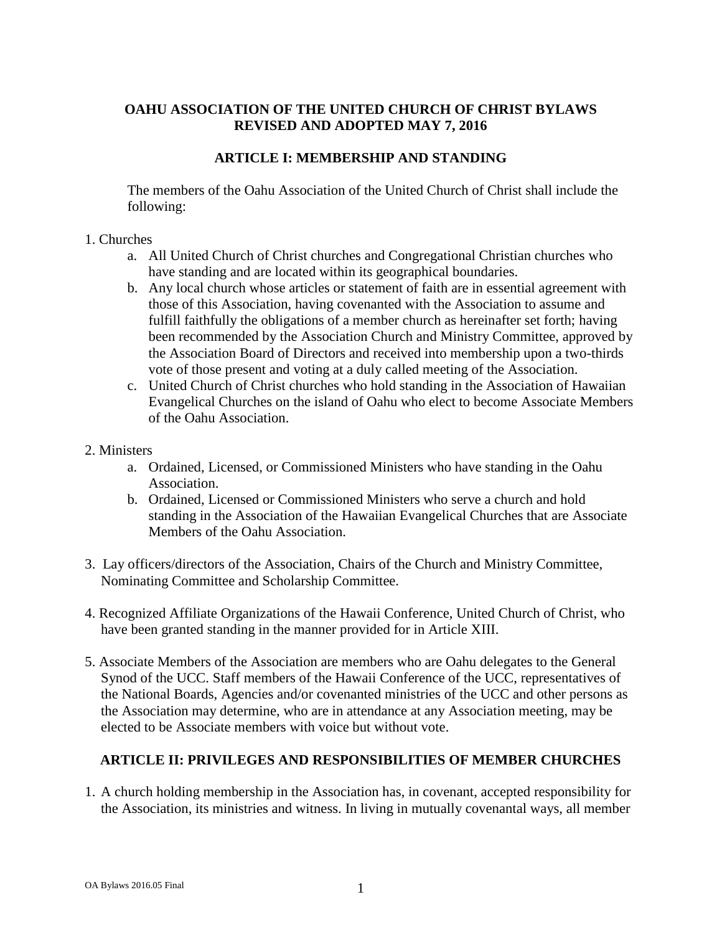## **OAHU ASSOCIATION OF THE UNITED CHURCH OF CHRIST BYLAWS REVISED AND ADOPTED MAY 7, 2016**

#### **ARTICLE I: MEMBERSHIP AND STANDING**

The members of the Oahu Association of the United Church of Christ shall include the following:

#### 1. Churches

- a. All United Church of Christ churches and Congregational Christian churches who have standing and are located within its geographical boundaries.
- b. Any local church whose articles or statement of faith are in essential agreement with those of this Association, having covenanted with the Association to assume and fulfill faithfully the obligations of a member church as hereinafter set forth; having been recommended by the Association Church and Ministry Committee, approved by the Association Board of Directors and received into membership upon a two-thirds vote of those present and voting at a duly called meeting of the Association.
- c. United Church of Christ churches who hold standing in the Association of Hawaiian Evangelical Churches on the island of Oahu who elect to become Associate Members of the Oahu Association.

#### 2. Ministers

- a. Ordained, Licensed, or Commissioned Ministers who have standing in the Oahu Association.
- b. Ordained, Licensed or Commissioned Ministers who serve a church and hold standing in the Association of the Hawaiian Evangelical Churches that are Associate Members of the Oahu Association.
- 3. Lay officers/directors of the Association, Chairs of the Church and Ministry Committee, Nominating Committee and Scholarship Committee.
- 4. Recognized Affiliate Organizations of the Hawaii Conference, United Church of Christ, who have been granted standing in the manner provided for in Article XIII.
- 5. Associate Members of the Association are members who are Oahu delegates to the General Synod of the UCC. Staff members of the Hawaii Conference of the UCC, representatives of the National Boards, Agencies and/or covenanted ministries of the UCC and other persons as the Association may determine, who are in attendance at any Association meeting, may be elected to be Associate members with voice but without vote.

## **ARTICLE II: PRIVILEGES AND RESPONSIBILITIES OF MEMBER CHURCHES**

1. A church holding membership in the Association has, in covenant, accepted responsibility for the Association, its ministries and witness. In living in mutually covenantal ways, all member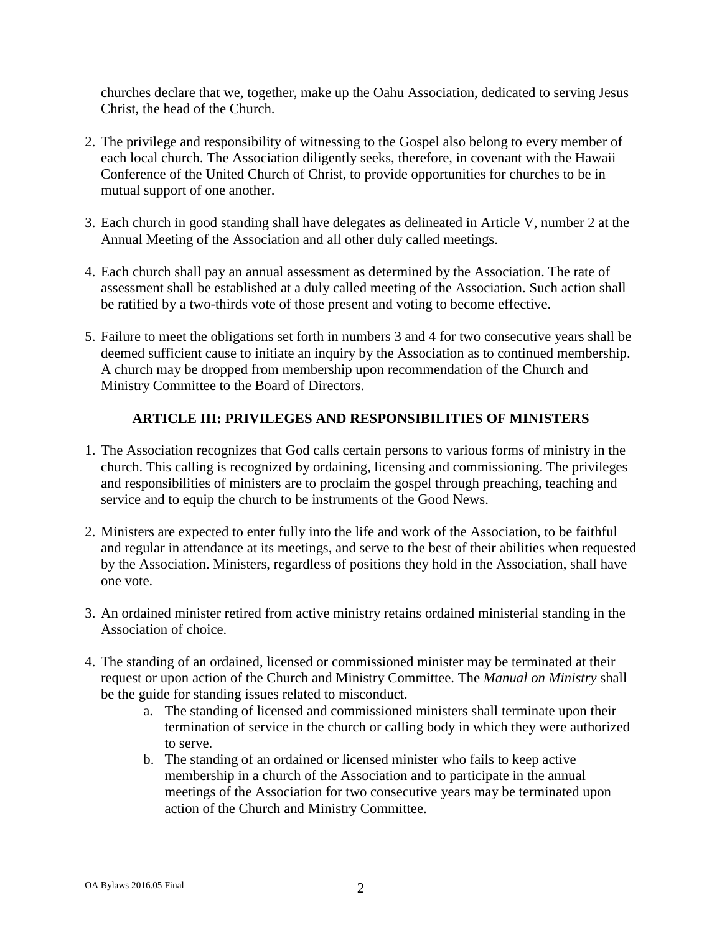churches declare that we, together, make up the Oahu Association, dedicated to serving Jesus Christ, the head of the Church.

- 2. The privilege and responsibility of witnessing to the Gospel also belong to every member of each local church. The Association diligently seeks, therefore, in covenant with the Hawaii Conference of the United Church of Christ, to provide opportunities for churches to be in mutual support of one another.
- 3. Each church in good standing shall have delegates as delineated in Article V, number 2 at the Annual Meeting of the Association and all other duly called meetings.
- 4. Each church shall pay an annual assessment as determined by the Association. The rate of assessment shall be established at a duly called meeting of the Association. Such action shall be ratified by a two-thirds vote of those present and voting to become effective.
- 5. Failure to meet the obligations set forth in numbers 3 and 4 for two consecutive years shall be deemed sufficient cause to initiate an inquiry by the Association as to continued membership. A church may be dropped from membership upon recommendation of the Church and Ministry Committee to the Board of Directors.

# **ARTICLE III: PRIVILEGES AND RESPONSIBILITIES OF MINISTERS**

- 1. The Association recognizes that God calls certain persons to various forms of ministry in the church. This calling is recognized by ordaining, licensing and commissioning. The privileges and responsibilities of ministers are to proclaim the gospel through preaching, teaching and service and to equip the church to be instruments of the Good News.
- 2. Ministers are expected to enter fully into the life and work of the Association, to be faithful and regular in attendance at its meetings, and serve to the best of their abilities when requested by the Association. Ministers, regardless of positions they hold in the Association, shall have one vote.
- 3. An ordained minister retired from active ministry retains ordained ministerial standing in the Association of choice.
- 4. The standing of an ordained, licensed or commissioned minister may be terminated at their request or upon action of the Church and Ministry Committee. The *Manual on Ministry* shall be the guide for standing issues related to misconduct.
	- a. The standing of licensed and commissioned ministers shall terminate upon their termination of service in the church or calling body in which they were authorized to serve.
	- b. The standing of an ordained or licensed minister who fails to keep active membership in a church of the Association and to participate in the annual meetings of the Association for two consecutive years may be terminated upon action of the Church and Ministry Committee.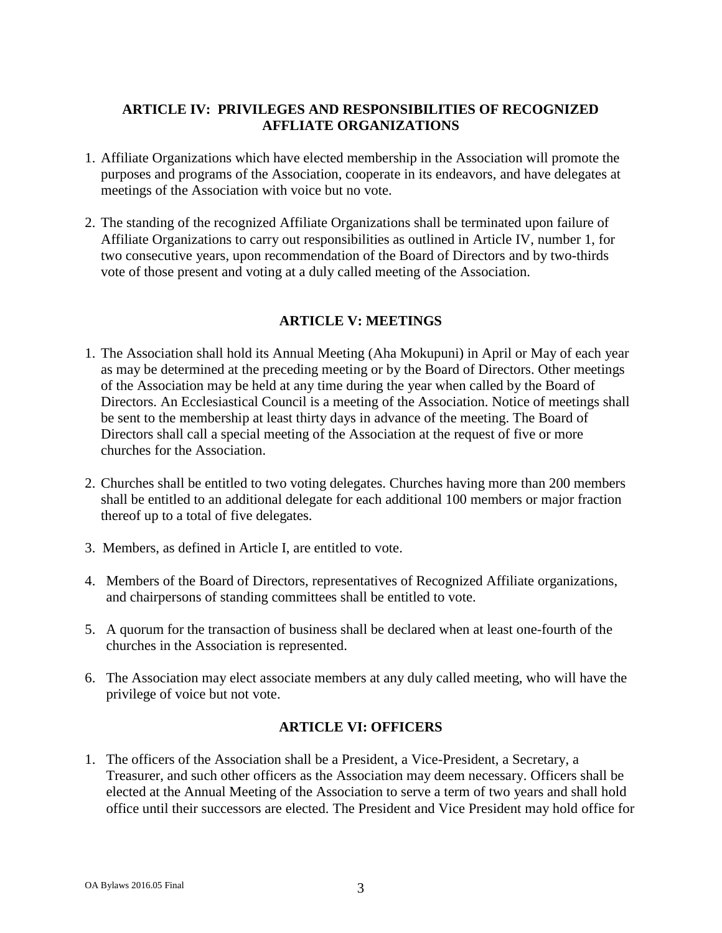## **ARTICLE IV: PRIVILEGES AND RESPONSIBILITIES OF RECOGNIZED AFFLIATE ORGANIZATIONS**

- 1. Affiliate Organizations which have elected membership in the Association will promote the purposes and programs of the Association, cooperate in its endeavors, and have delegates at meetings of the Association with voice but no vote.
- 2. The standing of the recognized Affiliate Organizations shall be terminated upon failure of Affiliate Organizations to carry out responsibilities as outlined in Article IV, number 1, for two consecutive years, upon recommendation of the Board of Directors and by two-thirds vote of those present and voting at a duly called meeting of the Association.

# **ARTICLE V: MEETINGS**

- 1. The Association shall hold its Annual Meeting (Aha Mokupuni) in April or May of each year as may be determined at the preceding meeting or by the Board of Directors. Other meetings of the Association may be held at any time during the year when called by the Board of Directors. An Ecclesiastical Council is a meeting of the Association. Notice of meetings shall be sent to the membership at least thirty days in advance of the meeting. The Board of Directors shall call a special meeting of the Association at the request of five or more churches for the Association.
- 2. Churches shall be entitled to two voting delegates. Churches having more than 200 members shall be entitled to an additional delegate for each additional 100 members or major fraction thereof up to a total of five delegates.
- 3. Members, as defined in Article I, are entitled to vote.
- 4. Members of the Board of Directors, representatives of Recognized Affiliate organizations, and chairpersons of standing committees shall be entitled to vote.
- 5. A quorum for the transaction of business shall be declared when at least one-fourth of the churches in the Association is represented.
- 6. The Association may elect associate members at any duly called meeting, who will have the privilege of voice but not vote.

## **ARTICLE VI: OFFICERS**

1. The officers of the Association shall be a President, a Vice-President, a Secretary, a Treasurer, and such other officers as the Association may deem necessary. Officers shall be elected at the Annual Meeting of the Association to serve a term of two years and shall hold office until their successors are elected. The President and Vice President may hold office for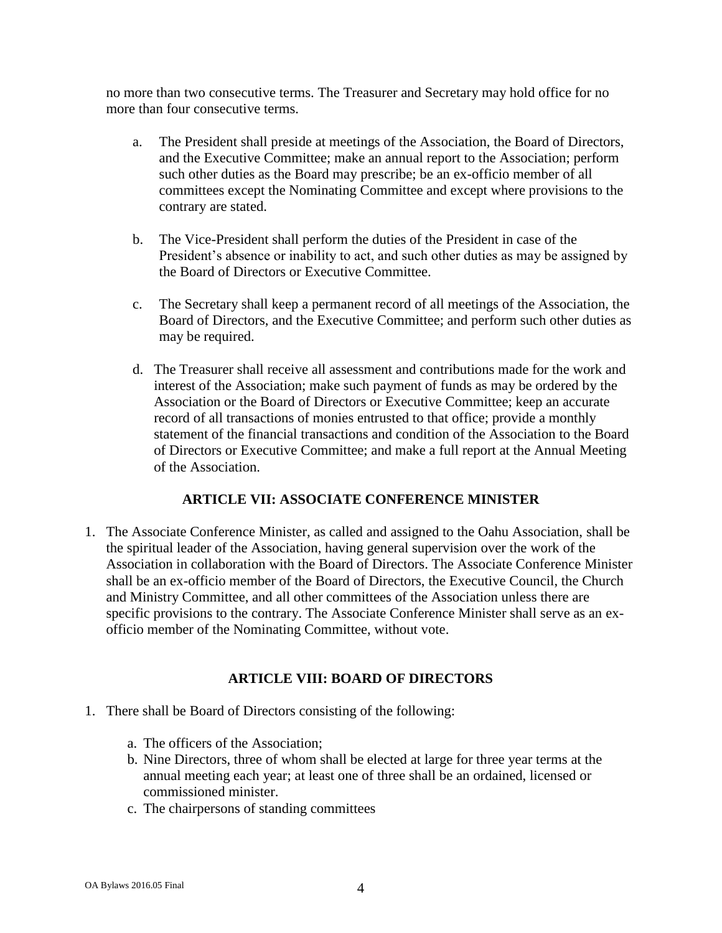no more than two consecutive terms. The Treasurer and Secretary may hold office for no more than four consecutive terms.

- a. The President shall preside at meetings of the Association, the Board of Directors, and the Executive Committee; make an annual report to the Association; perform such other duties as the Board may prescribe; be an ex-officio member of all committees except the Nominating Committee and except where provisions to the contrary are stated.
- b. The Vice-President shall perform the duties of the President in case of the President's absence or inability to act, and such other duties as may be assigned by the Board of Directors or Executive Committee.
- c. The Secretary shall keep a permanent record of all meetings of the Association, the Board of Directors, and the Executive Committee; and perform such other duties as may be required.
- d. The Treasurer shall receive all assessment and contributions made for the work and interest of the Association; make such payment of funds as may be ordered by the Association or the Board of Directors or Executive Committee; keep an accurate record of all transactions of monies entrusted to that office; provide a monthly statement of the financial transactions and condition of the Association to the Board of Directors or Executive Committee; and make a full report at the Annual Meeting of the Association.

## **ARTICLE VII: ASSOCIATE CONFERENCE MINISTER**

1. The Associate Conference Minister, as called and assigned to the Oahu Association, shall be the spiritual leader of the Association, having general supervision over the work of the Association in collaboration with the Board of Directors. The Associate Conference Minister shall be an ex-officio member of the Board of Directors, the Executive Council, the Church and Ministry Committee, and all other committees of the Association unless there are specific provisions to the contrary. The Associate Conference Minister shall serve as an exofficio member of the Nominating Committee, without vote.

## **ARTICLE VIII: BOARD OF DIRECTORS**

- 1. There shall be Board of Directors consisting of the following:
	- a. The officers of the Association;
	- b. Nine Directors, three of whom shall be elected at large for three year terms at the annual meeting each year; at least one of three shall be an ordained, licensed or commissioned minister.
	- c. The chairpersons of standing committees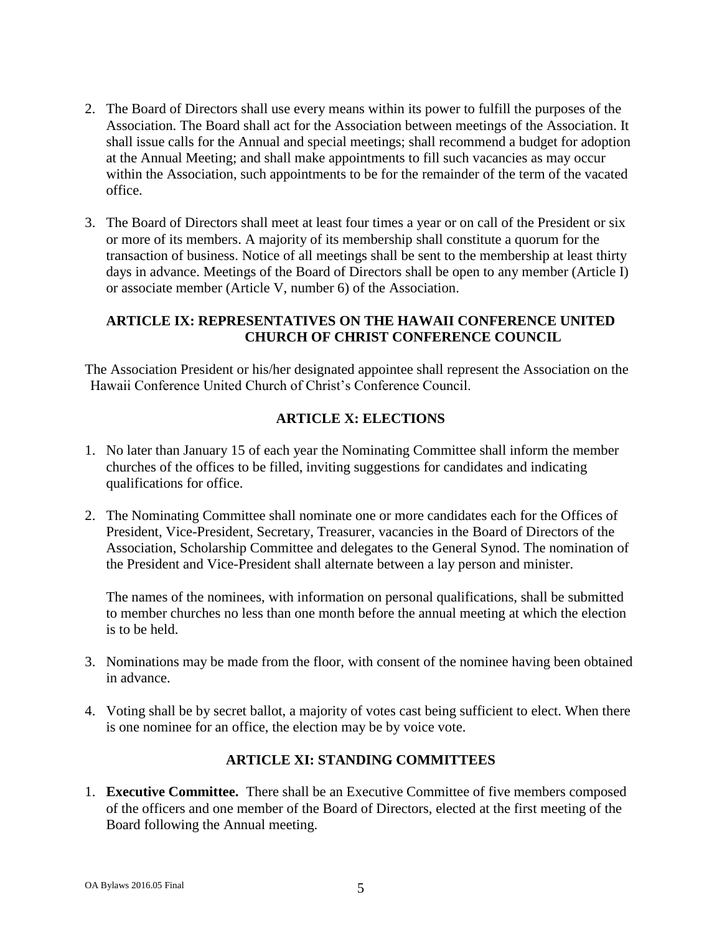- 2. The Board of Directors shall use every means within its power to fulfill the purposes of the Association. The Board shall act for the Association between meetings of the Association. It shall issue calls for the Annual and special meetings; shall recommend a budget for adoption at the Annual Meeting; and shall make appointments to fill such vacancies as may occur within the Association, such appointments to be for the remainder of the term of the vacated office.
- 3. The Board of Directors shall meet at least four times a year or on call of the President or six or more of its members. A majority of its membership shall constitute a quorum for the transaction of business. Notice of all meetings shall be sent to the membership at least thirty days in advance. Meetings of the Board of Directors shall be open to any member (Article I) or associate member (Article V, number 6) of the Association.

## **ARTICLE IX: REPRESENTATIVES ON THE HAWAII CONFERENCE UNITED CHURCH OF CHRIST CONFERENCE COUNCIL**

The Association President or his/her designated appointee shall represent the Association on the Hawaii Conference United Church of Christ's Conference Council.

# **ARTICLE X: ELECTIONS**

- 1. No later than January 15 of each year the Nominating Committee shall inform the member churches of the offices to be filled, inviting suggestions for candidates and indicating qualifications for office.
- 2. The Nominating Committee shall nominate one or more candidates each for the Offices of President, Vice-President, Secretary, Treasurer, vacancies in the Board of Directors of the Association, Scholarship Committee and delegates to the General Synod. The nomination of the President and Vice-President shall alternate between a lay person and minister.

The names of the nominees, with information on personal qualifications, shall be submitted to member churches no less than one month before the annual meeting at which the election is to be held.

- 3. Nominations may be made from the floor, with consent of the nominee having been obtained in advance.
- 4. Voting shall be by secret ballot, a majority of votes cast being sufficient to elect. When there is one nominee for an office, the election may be by voice vote.

## **ARTICLE XI: STANDING COMMITTEES**

1. **Executive Committee.** There shall be an Executive Committee of five members composed of the officers and one member of the Board of Directors, elected at the first meeting of the Board following the Annual meeting.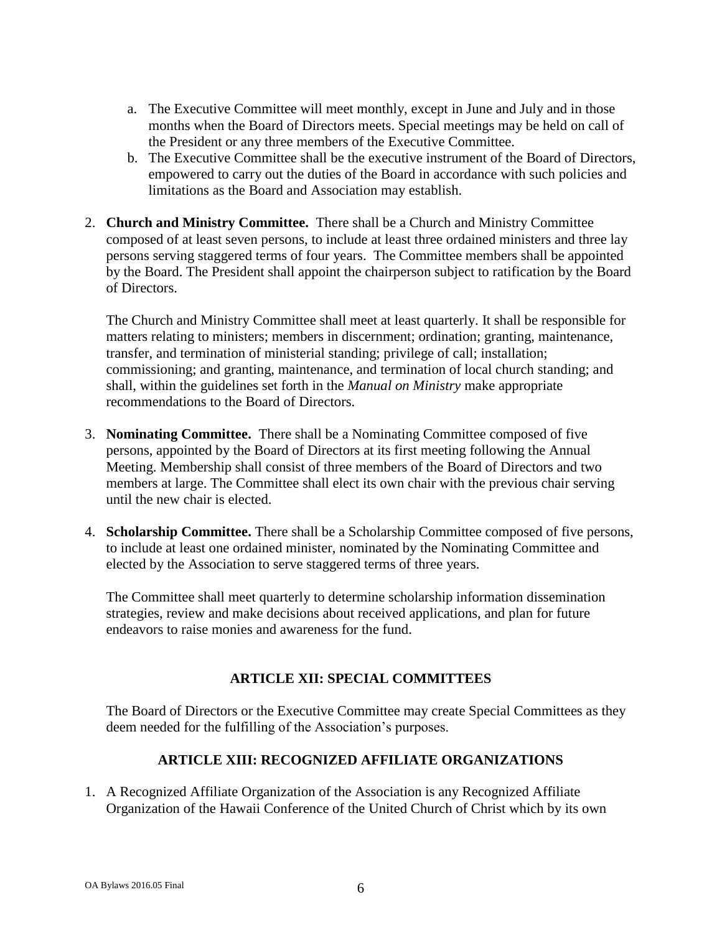- a. The Executive Committee will meet monthly, except in June and July and in those months when the Board of Directors meets. Special meetings may be held on call of the President or any three members of the Executive Committee.
- b. The Executive Committee shall be the executive instrument of the Board of Directors, empowered to carry out the duties of the Board in accordance with such policies and limitations as the Board and Association may establish.
- 2. **Church and Ministry Committee.** There shall be a Church and Ministry Committee composed of at least seven persons, to include at least three ordained ministers and three lay persons serving staggered terms of four years. The Committee members shall be appointed by the Board. The President shall appoint the chairperson subject to ratification by the Board of Directors.

The Church and Ministry Committee shall meet at least quarterly. It shall be responsible for matters relating to ministers; members in discernment; ordination; granting, maintenance, transfer, and termination of ministerial standing; privilege of call; installation; commissioning; and granting, maintenance, and termination of local church standing; and shall, within the guidelines set forth in the *Manual on Ministry* make appropriate recommendations to the Board of Directors.

- 3. **Nominating Committee.** There shall be a Nominating Committee composed of five persons, appointed by the Board of Directors at its first meeting following the Annual Meeting. Membership shall consist of three members of the Board of Directors and two members at large. The Committee shall elect its own chair with the previous chair serving until the new chair is elected.
- 4. **Scholarship Committee.** There shall be a Scholarship Committee composed of five persons, to include at least one ordained minister, nominated by the Nominating Committee and elected by the Association to serve staggered terms of three years.

The Committee shall meet quarterly to determine scholarship information dissemination strategies, review and make decisions about received applications, and plan for future endeavors to raise monies and awareness for the fund.

## **ARTICLE XII: SPECIAL COMMITTEES**

The Board of Directors or the Executive Committee may create Special Committees as they deem needed for the fulfilling of the Association's purposes.

## **ARTICLE XIII: RECOGNIZED AFFILIATE ORGANIZATIONS**

1. A Recognized Affiliate Organization of the Association is any Recognized Affiliate Organization of the Hawaii Conference of the United Church of Christ which by its own